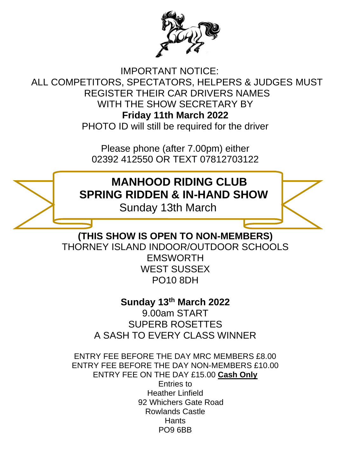

IMPORTANT NOTICE: ALL COMPETITORS, SPECTATORS, HELPERS & JUDGES MUST REGISTER THEIR CAR DRIVERS NAMES WITH THE SHOW SECRETARY BY **Friday 11th March 2022** PHOTO ID will still be required for the driver

> Please phone (after 7.00pm) either 02392 412550 OR TEXT 07812703122

**MANHOOD RIDING CLUB SPRING RIDDEN & IN-HAND SHOW**

Sunday 13th March

**(THIS SHOW IS OPEN TO NON-MEMBERS)** THORNEY ISLAND INDOOR/OUTDOOR SCHOOLS **FMSWORTH** WEST SUSSEX PO10 8DH

> **Sunday 13th March 2022** 9.00am START SUPERB ROSETTES A SASH TO EVERY CLASS WINNER

ENTRY FEE BEFORE THE DAY MRC MEMBERS £8.00 ENTRY FEE BEFORE THE DAY NON-MEMBERS £10.00 ENTRY FEE ON THE DAY £15.00 **Cash Only** Entries to Heather Linfield 92 Whichers Gate Road Rowlands Castle **Hants** PO9 6BB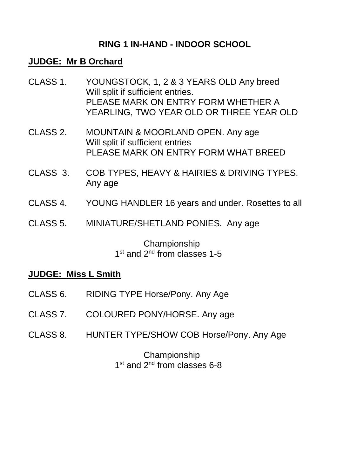### **RING 1 IN-HAND - INDOOR SCHOOL**

#### **JUDGE: Mr B Orchard**

- CLASS 1. YOUNGSTOCK, 1, 2 & 3 YEARS OLD Any breed Will split if sufficient entries. PLEASE MARK ON ENTRY FORM WHETHER A YEARLING, TWO YEAR OLD OR THREE YEAR OLD
- CLASS 2. MOUNTAIN & MOORLAND OPEN. Any age Will split if sufficient entries PLEASE MARK ON ENTRY FORM WHAT BREED
- CLASS 3. COB TYPES, HEAVY & HAIRIES & DRIVING TYPES. Any age
- CLASS 4. YOUNG HANDLER 16 years and under. Rosettes to all
- CLASS 5. MINIATURE/SHETLAND PONIES. Any age

#### Championship 1<sup>st</sup> and 2<sup>nd</sup> from classes 1-5

#### **JUDGE: Miss L Smith**

- CLASS 6. RIDING TYPE Horse/Pony. Any Age
- CLASS 7. COLOURED PONY/HORSE. Any age
- CLASS 8. HUNTER TYPE/SHOW COB Horse/Pony. Any Age

Championship 1<sup>st</sup> and 2<sup>nd</sup> from classes 6-8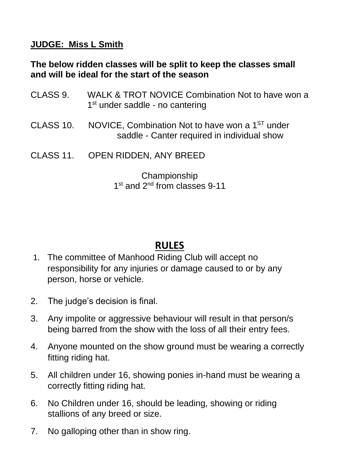## **JUDGE: Miss L Smith**

### **The below ridden classes will be split to keep the classes small and will be ideal for the start of the season**

| CLASS 9.  | WALK & TROT NOVICE Combination Not to have won a<br>$1st$ under saddle - no cantering                      |
|-----------|------------------------------------------------------------------------------------------------------------|
| CLASS 10. | NOVICE, Combination Not to have won a 1 <sup>ST</sup> under<br>saddle - Canter required in individual show |
|           | CLASS 11. OPEN RIDDEN, ANY BREED                                                                           |
|           | Championship<br>1 <sup>st</sup> and 2 <sup>nd</sup> from classes 9-11                                      |

# **RULES**

- 1. The committee of Manhood Riding Club will accept no responsibility for any injuries or damage caused to or by any person, horse or vehicle.
- 2. The judge's decision is final.
- 3. Any impolite or aggressive behaviour will result in that person/s being barred from the show with the loss of all their entry fees.
- 4. Anyone mounted on the show ground must be wearing a correctly fitting riding hat.
- 5. All children under 16, showing ponies in-hand must be wearing a correctly fitting riding hat.
- 6. No Children under 16, should be leading, showing or riding stallions of any breed or size.
- 7. No galloping other than in show ring.